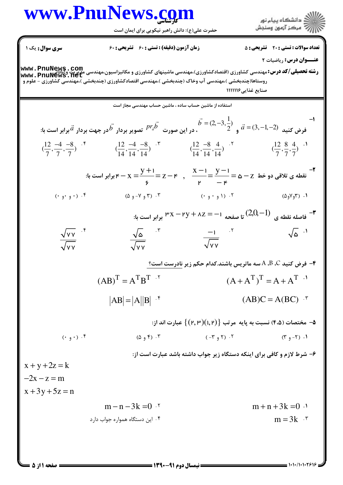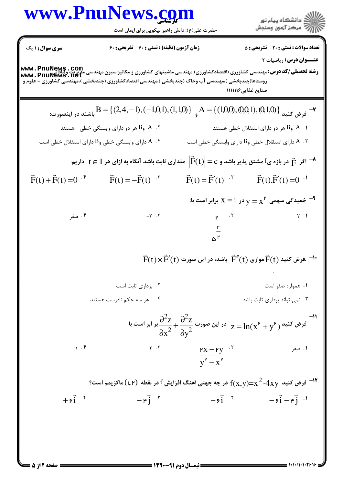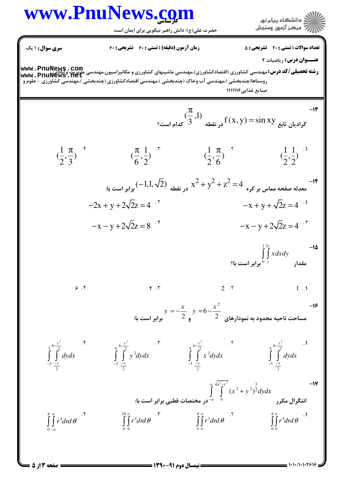

صفحه ۱۳ز ۵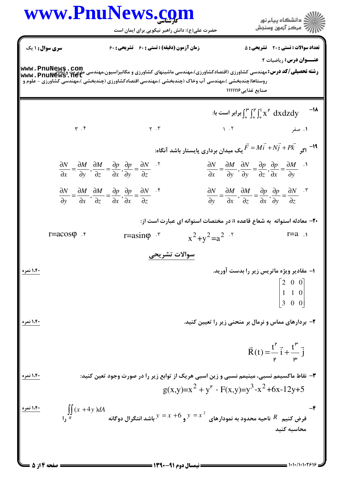

**<sup>=</sup> نیمسال دوم 91-1300** =

= 1+1+/1+1+245